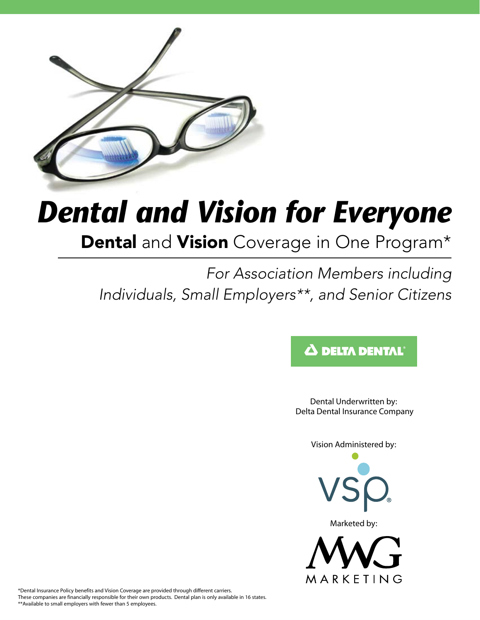

# *Dental and Vision for Everyone*

Dental and Vision Coverage in One Program\*

*For Association Members including Individuals, Small Employers\*\*, and Senior Citizens*

# $\boldsymbol{\Delta}$  delta dental

Dental Underwritten by: Delta Dental Insurance Company

Vision Administered by:



Marketed by:



\*Dental Insurance Policy benefits and Vision Coverage are provided through different carriers. These companies are financially responsible for their own products. Dental plan is only available in 16 states. \*\*Available to small employers with fewer than 5 employees.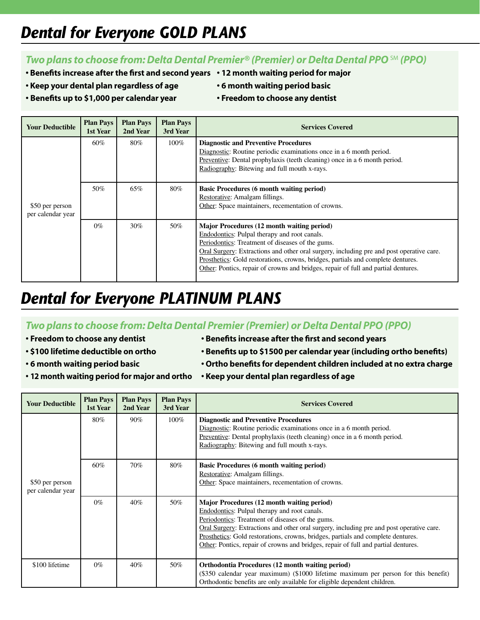# *Dental for Everyone GOLD PLANS*

### *Two plans to choose from: Delta Dental Premier® (Premier) or Delta Dental PPO* **SM (PPO)**

- **Benefits increase after the first and second years 12 month waiting period for major**
- 
- 
- **Keep your dental plan regardless of age 6 month waiting period basic**
	-
- **• Benefits up to \$1,000 per calendar year Freedom to choose any dentist**
- 

| <b>Your Deductible</b>               | <b>Plan Pays</b><br>1st Year | <b>Plan Pays</b><br>2nd Year | <b>Plan Pays</b><br>3rd Year | <b>Services Covered</b>                                                                                                                                                                                                                                                                                                                                                                                              |  |  |
|--------------------------------------|------------------------------|------------------------------|------------------------------|----------------------------------------------------------------------------------------------------------------------------------------------------------------------------------------------------------------------------------------------------------------------------------------------------------------------------------------------------------------------------------------------------------------------|--|--|
|                                      | 60%                          | 80%                          | $100\%$                      | <b>Diagnostic and Preventive Procedures</b><br>Diagnostic: Routine periodic examinations once in a 6 month period.<br>Preventive: Dental prophylaxis (teeth cleaning) once in a 6 month period.<br>Radiography: Bitewing and full mouth x-rays.                                                                                                                                                                      |  |  |
| \$50 per person<br>per calendar year | 50%                          | 65%                          | 80%                          | <b>Basic Procedures (6 month waiting period)</b><br>Restorative: Amalgam fillings.<br>Other: Space maintainers, recementation of crowns.                                                                                                                                                                                                                                                                             |  |  |
|                                      | $0\%$                        | 30%                          | 50%                          | Major Procedures (12 month waiting period)<br>Endodontics: Pulpal therapy and root canals.<br>Periodontics: Treatment of diseases of the gums.<br>Oral Surgery: Extractions and other oral surgery, including pre and post operative care.<br>Prosthetics: Gold restorations, crowns, bridges, partials and complete dentures.<br>Other: Pontics, repair of crowns and bridges, repair of full and partial dentures. |  |  |

# *Dental for Everyone PLATINUM PLANS*

### *Two plans to choose from: Delta Dental Premier (Premier) or Delta Dental PPO (PPO)*

- 
- 
- 
- **• 12 month waiting period for major and ortho Keep your dental plan regardless of age**
- **• Freedom to choose any dentist Benefits increase after the first and second years**
- **\$100 lifetime deductible on ortho Benefits up to \$1500 per calendar year (including ortho benefits)**
- **• 6 month waiting period basic Ortho benefits for dependent children included at no extra charge**
	-

| <b>Your Deductible</b>               | <b>Plan Pays</b><br>1st Year | <b>Plan Pays</b><br>2nd Year | <b>Plan Pays</b><br>3rd Year | <b>Services Covered</b>                                                                                                                                                                                                                                                                                                                                                                                              |  |  |  |
|--------------------------------------|------------------------------|------------------------------|------------------------------|----------------------------------------------------------------------------------------------------------------------------------------------------------------------------------------------------------------------------------------------------------------------------------------------------------------------------------------------------------------------------------------------------------------------|--|--|--|
|                                      | 80%                          | 90%                          | $100\%$                      | <b>Diagnostic and Preventive Procedures</b><br>Diagnostic: Routine periodic examinations once in a 6 month period.<br>Preventive: Dental prophylaxis (teeth cleaning) once in a 6 month period.<br>Radiography: Bitewing and full mouth x-rays.                                                                                                                                                                      |  |  |  |
| \$50 per person<br>per calendar year | 60%                          | 70%                          | $80\%$                       | <b>Basic Procedures (6 month waiting period)</b><br>Restorative: Amalgam fillings.<br>Other: Space maintainers, recementation of crowns.                                                                                                                                                                                                                                                                             |  |  |  |
|                                      | $0\%$                        | $40\%$                       | 50%                          | Major Procedures (12 month waiting period)<br>Endodontics: Pulpal therapy and root canals.<br>Periodontics: Treatment of diseases of the gums.<br>Oral Surgery: Extractions and other oral surgery, including pre and post operative care.<br>Prosthetics: Gold restorations, crowns, bridges, partials and complete dentures.<br>Other: Pontics, repair of crowns and bridges, repair of full and partial dentures. |  |  |  |
| \$100 lifetime                       | $0\%$                        | 40%                          | 50%                          | Orthodontia Procedures (12 month waiting period)<br>(\$350 calendar year maximum) (\$1000 lifetime maximum per person for this benefit)<br>Orthodontic benefits are only available for eligible dependent children.                                                                                                                                                                                                  |  |  |  |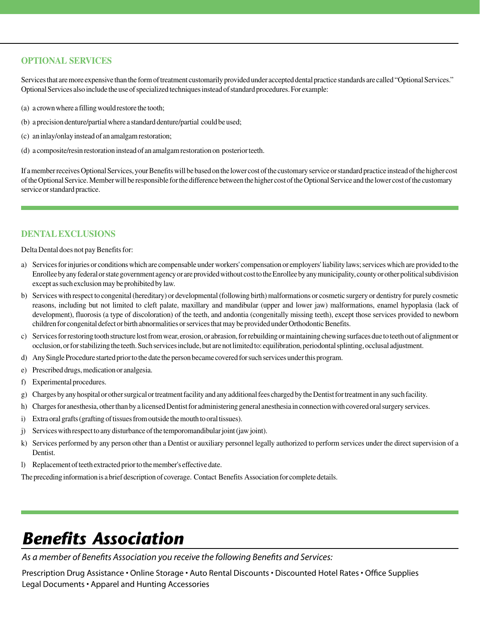#### **Optional Services**

Services that are more expensive than the form of treatment customarily provided under accepted dental practice standards are called "Optional Services." Optional Services also include the use of specialized techniques instead of standard procedures. For example:

- (a) a crown where a filling would restore the tooth;
- (b) a precision denture/partial where a standard denture/partial could be used;
- (c) an inlay/onlay instead of an amalgam restoration;
- (d) a composite/resin restoration instead of an amalgam restoration on posterior teeth.

If a member receives Optional Services, your Benefits will be based on the lower cost of the customary service or standard practice instead of the higher cost of the Optional Service. Member will be responsible for the difference between the higher cost of the Optional Service and the lower cost of the customary service or standard practice.

#### **DENTALEXCLUSIONS**

Delta Dental does not pay Benefits for:

- a) Services for injuries or conditions which are compensable under workers' compensation or employers' liability laws; services which are provided to the Enrollee by any federal or state government agency or are provided without cost to the Enrollee by any municipality, county or other political subdivision except as such exclusion may be prohibited by law.
- b) Services with respect to congenital (hereditary) or developmental (following birth) malformations or cosmetic surgery or dentistry for purely cosmetic reasons, including but not limited to cleft palate, maxillary and mandibular (upper and lower jaw) malformations, enamel hypoplasia (lack of development), fluorosis (a type of discoloration) of the teeth, and andontia (congenitally missing teeth), except those services provided to newborn children for congenital defect or birth abnormalities or services that may be provided under Orthodontic Benefits.
- c) Services for restoring tooth structure lost from wear, erosion, or abrasion, for rebuilding or maintaining chewing surfaces due to teeth out of alignment or occlusion, or for stabilizing the teeth. Such services include, but are not limited to: equilibration, periodontal splinting, occlusal adjustment.
- d) Any Single Procedure started prior to the date the person became covered for such services under this program.
- e) Prescribed drugs, medication or analgesia.
- f) Experimental procedures.
- g) Charges by any hospital or other surgical or treatment facility and any additional fees charged by the Dentist for treatment in any such facility.
- h) Charges for anesthesia, other than by a licensed Dentist for administering general anesthesia in connection with covered oral surgery services.
- i) Extra oral grafts (grafting of tissues from outside the mouth to oral tissues).
- j) Services with respect to any disturbance of the temporomandibular joint (jaw joint).
- k) Services performed by any person other than a Dentist or auxiliary personnel legally authorized to perform services under the direct supervision of a Dentist.
- l) Replacement of teeth extracted prior to the member's effective date.

The preceding information is a brief description of coverage. Contact Benefits Association for complete details.

# *Benefits Association*

*As a member of Benefits Association you receive the following Benefits and Services:*

Prescription Drug Assistance • Online Storage • Auto Rental Discounts • Discounted Hotel Rates • Office Supplies Legal Documents • Apparel and Hunting Accessories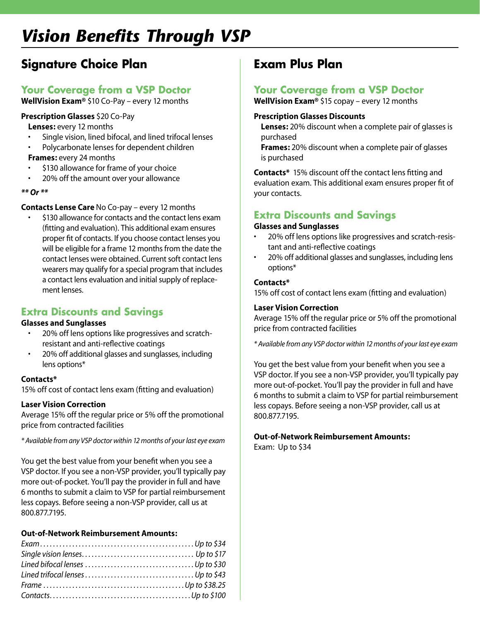# *Vision Benefits Through VSP*

# **Signature Choice Plan**

### **Your Coverage from a VSP Doctor**

**WellVision Exam®** \$10 Co-Pay – every 12 months

#### **Prescription Glasses** \$20 Co-Pay

**Lenses:** every 12 months

- Single vision, lined bifocal, and lined trifocal lenses
- Polycarbonate lenses for dependent children

**Frames:** every 24 months

- \$130 allowance for frame of your choice
- • 20% off the amount over your allowance
- *\*\* Or \*\**

#### **Contacts Lense Care** No Co-pay – every 12 months

\$130 allowance for contacts and the contact lens exam (fitting and evaluation). This additional exam ensures proper fit of contacts. If you choose contact lenses you will be eligible for a frame 12 months from the date the contact lenses were obtained. Current soft contact lens wearers may qualify for a special program that includes a contact lens evaluation and initial supply of replacement lenses.

### **Extra Discounts and Savings**

#### **Glasses and Sunglasses**

- 20% off lens options like progressives and scratchresistant and anti-reflective coatings
- 20% off additional glasses and sunglasses, including lens options\*

#### **Contacts\***

15% off cost of contact lens exam (fitting and evaluation)

#### **Laser Vision Correction**

Average 15% off the regular price or 5% off the promotional price from contracted facilities

*\* Available from any VSP doctor within 12 months of your last eye exam* 

You get the best value from your benefit when you see a VSP doctor. If you see a non-VSP provider, you'll typically pay more out-of-pocket. You'll pay the provider in full and have 6 months to submit a claim to VSP for partial reimbursement less copays. Before seeing a non-VSP provider, call us at 800.877.7195.

#### **Out-of-Network Reimbursement Amounts:**

### **Exam Plus Plan**

### **Your Coverage from a VSP Doctor**

**WellVision Exam®** \$15 copay – every 12 months

#### **Prescription Glasses Discounts**

**Lenses:** 20% discount when a complete pair of glasses is purchased

**Frames:** 20% discount when a complete pair of glasses is purchased

**Contacts\*** 15% discount off the contact lens fitting and evaluation exam. This additional exam ensures proper fit of your contacts.

### **Extra Discounts and Savings**

#### **Glasses and Sunglasses**

- • 20% off lens options like progressives and scratch-resistant and anti-reflective coatings
- 20% off additional glasses and sunglasses, including lens options\*

#### **Contacts\***

15% off cost of contact lens exam (fitting and evaluation)

#### **Laser Vision Correction**

Average 15% off the regular price or 5% off the promotional price from contracted facilities

*\* Available from any VSP doctor within 12 months of your last eye exam* 

You get the best value from your benefit when you see a VSP doctor. If you see a non-VSP provider, you'll typically pay more out-of-pocket. You'll pay the provider in full and have 6 months to submit a claim to VSP for partial reimbursement less copays. Before seeing a non-VSP provider, call us at 800.877.7195.

#### **Out-of-Network Reimbursement Amounts:**

Exam: Up to \$34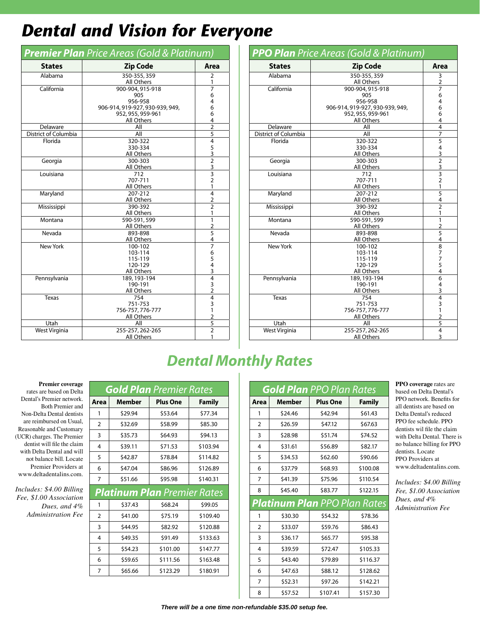# *Dental and Vision for Everyone*

| <b>Premier Plan</b> Price Areas (Gold & Platinum) |                                       |                         |  |  |  |  |
|---------------------------------------------------|---------------------------------------|-------------------------|--|--|--|--|
| <b>States</b>                                     | <b>Zip Code</b>                       | Area                    |  |  |  |  |
| Alabama                                           | 350-355, 359                          | $\overline{2}$          |  |  |  |  |
|                                                   | All Others                            | 1                       |  |  |  |  |
| California                                        | 900-904, 915-918                      | $\overline{7}$          |  |  |  |  |
|                                                   | 905                                   | 6                       |  |  |  |  |
|                                                   | 956-958                               | 4                       |  |  |  |  |
|                                                   | 906-914, 919-927, 930-939, 949,       | 6                       |  |  |  |  |
|                                                   | 952, 955, 959-961                     | 6                       |  |  |  |  |
|                                                   | <b>All Others</b>                     | 4                       |  |  |  |  |
| Delaware                                          | All                                   | $\overline{2}$          |  |  |  |  |
| District of Columbia                              | All                                   | 5                       |  |  |  |  |
| Florida                                           | 320-322                               | $\overline{4}$          |  |  |  |  |
|                                                   | 330-334                               |                         |  |  |  |  |
|                                                   | All Others                            |                         |  |  |  |  |
| Georgia                                           | 300-303                               | $\frac{53}{23}$         |  |  |  |  |
|                                                   | <b>All Others</b>                     |                         |  |  |  |  |
| Louisiana                                         | 712                                   |                         |  |  |  |  |
|                                                   | 707-711                               | $\overline{2}$          |  |  |  |  |
|                                                   | <b>All Others</b>                     | 1                       |  |  |  |  |
| Maryland                                          | 207-212                               | $\overline{4}$          |  |  |  |  |
|                                                   | All Others                            | $\overline{\mathbf{c}}$ |  |  |  |  |
| Mississippi                                       | 390-392                               | $\overline{2}$          |  |  |  |  |
|                                                   | <b>All Others</b>                     | 1                       |  |  |  |  |
| Montana                                           | 590-591,599                           | 1                       |  |  |  |  |
|                                                   | <b>All Others</b>                     | $\overline{2}$          |  |  |  |  |
| Nevada                                            | 893-898                               | 5                       |  |  |  |  |
|                                                   | All Others                            | 4                       |  |  |  |  |
| <b>New York</b>                                   | 100-102                               | $\overline{7}$          |  |  |  |  |
|                                                   | 103-114                               | 6<br>5                  |  |  |  |  |
|                                                   | 115-119                               |                         |  |  |  |  |
|                                                   | 120-129                               | $\overline{4}$          |  |  |  |  |
|                                                   | <b>All Others</b>                     | $\overline{3}$          |  |  |  |  |
| Pennsylvania                                      | 189, 193-194                          | $\overline{4}$          |  |  |  |  |
|                                                   | 190-191                               | $\frac{3}{2}$           |  |  |  |  |
|                                                   | All Others                            |                         |  |  |  |  |
| <b>Texas</b>                                      | 754                                   | $\overline{4}$          |  |  |  |  |
|                                                   | 751-753                               | 3<br>1                  |  |  |  |  |
|                                                   | 756-757, 776-777<br><b>All Others</b> |                         |  |  |  |  |
| Utah                                              | All                                   | $\frac{2}{5}$           |  |  |  |  |
|                                                   | 255-257, 262-265                      | $\overline{2}$          |  |  |  |  |
| West Virginia                                     |                                       |                         |  |  |  |  |
|                                                   | <b>All Others</b>                     | 1                       |  |  |  |  |

| <b>PPO Plan</b> Price Areas (Gold & Platinum) |                                 |                                            |  |  |  |  |
|-----------------------------------------------|---------------------------------|--------------------------------------------|--|--|--|--|
| <b>States</b>                                 | <b>Zip Code</b>                 | Area                                       |  |  |  |  |
| Alabama                                       | $350 - 355, 359$                | 3                                          |  |  |  |  |
|                                               | All Others                      | $\overline{2}$                             |  |  |  |  |
| California                                    | 900-904, 915-918                | $\overline{7}$                             |  |  |  |  |
|                                               | 905                             | 6                                          |  |  |  |  |
|                                               | 956-958                         | 4                                          |  |  |  |  |
|                                               | 906-914, 919-927, 930-939, 949, | 6                                          |  |  |  |  |
|                                               | 952, 955, 959-961               | 6                                          |  |  |  |  |
|                                               | All Others                      | 4                                          |  |  |  |  |
| Delaware                                      | All                             | $\overline{4}$                             |  |  |  |  |
| District of Columbia                          | All                             | $\overline{7}$                             |  |  |  |  |
| Florida                                       | 320-322                         | $\overline{5}$                             |  |  |  |  |
|                                               | 330-334                         | 4                                          |  |  |  |  |
|                                               | All Others                      | $\overline{3}$                             |  |  |  |  |
| Georgia                                       | 300-303                         | $\overline{2}$                             |  |  |  |  |
|                                               | All Others                      |                                            |  |  |  |  |
| Louisiana                                     | 712                             | $\frac{3}{3}$                              |  |  |  |  |
|                                               | 707-711                         |                                            |  |  |  |  |
|                                               | All Others                      | $\mathbf{1}$                               |  |  |  |  |
| Maryland                                      | 207-212                         | $\overline{5}$                             |  |  |  |  |
|                                               | All Others                      | 4                                          |  |  |  |  |
| Mississippi                                   | 390-392                         | $\overline{2}$                             |  |  |  |  |
|                                               | <b>All Others</b>               | 1                                          |  |  |  |  |
| Montana                                       | 590-591,599                     | 1                                          |  |  |  |  |
|                                               | All Others                      | $\overline{2}$                             |  |  |  |  |
| Nevada                                        | 893-898                         | 5                                          |  |  |  |  |
|                                               | <b>All Others</b>               | 4                                          |  |  |  |  |
| <b>New York</b>                               | 100-102                         | $\overline{8}$                             |  |  |  |  |
|                                               | 103-114                         | $\begin{array}{c} 7 \\ 7 \\ 5 \end{array}$ |  |  |  |  |
|                                               | 115-119                         |                                            |  |  |  |  |
|                                               | 120-129                         |                                            |  |  |  |  |
|                                               | All Others                      | $\overline{4}$                             |  |  |  |  |
| Pennsylvania                                  | 189, 193-194                    | $\overline{6}$                             |  |  |  |  |
|                                               | 190-191                         | 4                                          |  |  |  |  |
|                                               | All Others                      | 3                                          |  |  |  |  |
| <b>Texas</b>                                  | 754                             | $\overline{4}$                             |  |  |  |  |
|                                               | 751-753                         | 3                                          |  |  |  |  |
|                                               | 756-757, 776-777                | 1                                          |  |  |  |  |
|                                               | All Others                      | $\overline{2}$                             |  |  |  |  |
| Utah                                          | All                             | 5                                          |  |  |  |  |
| West Virginia                                 | 255-257, 262-265                | 4                                          |  |  |  |  |
|                                               | <b>All Others</b>               | 3                                          |  |  |  |  |

# *Dental Monthly Rates*

#### **Premier coverage**

rates are based on Delta Dental's Premier network. Both Premier and Non-Delta Dental dentists are reimbursed on Usual, Reasonable and Customary (UCR) charges. The Premier dentist will file the claim with Delta Dental and will not balance bill. Locate Premier Providers at www.deltadentalins.com.

*Includes: \$4.00 Billing Fee, \$1.00 Association Dues, and 4% Administration Fee*

| <b>Gold Plan</b> Premier Rates |               |                                    |               |  |  |  |
|--------------------------------|---------------|------------------------------------|---------------|--|--|--|
| Area                           | <b>Member</b> | <b>Plus One</b>                    | <b>Family</b> |  |  |  |
| 1                              | \$29.94       | \$53.64                            | \$77.34       |  |  |  |
| $\overline{2}$                 | \$32.69       | \$58.99                            | \$85.30       |  |  |  |
| 3                              | \$35.73       | \$64.93                            | \$94.13       |  |  |  |
| 4                              | \$39.11       | \$71.53                            | \$103.94      |  |  |  |
| 5                              | \$42.87       | \$78.84                            | \$114.82      |  |  |  |
| 6                              | \$47.04       | \$86.96                            | \$126.89      |  |  |  |
| 7                              | \$51.66       | \$95.98                            | \$140.31      |  |  |  |
|                                |               | <b>Platinum Plan</b> Premier Rates |               |  |  |  |
| 1                              | \$37.43       | \$68.24                            | \$99.05       |  |  |  |
| $\overline{2}$                 | \$41.00       | \$75.19                            | \$109.40      |  |  |  |
| 3                              | \$44.95       | \$82.92                            | \$120.88      |  |  |  |
| 4                              | \$49.35       | \$91.49                            | \$133.63      |  |  |  |
| 5                              | \$54.23       | \$101.00                           | \$147.77      |  |  |  |
| 6                              | \$59.65       | \$111.56                           | \$163.48      |  |  |  |
| 7                              | \$65.66       | \$123.29                           | \$180.91      |  |  |  |

| <b>Gold Plan</b> PPO Plan Rates |         |                                     |               |  |  |  |
|---------------------------------|---------|-------------------------------------|---------------|--|--|--|
| Area                            | Member  | <b>Plus One</b>                     | <b>Family</b> |  |  |  |
| 1                               | \$24.46 | \$42.94                             | \$61.43       |  |  |  |
| $\overline{2}$                  | \$26.59 | \$47.12                             | \$67.63       |  |  |  |
| 3                               | \$28.98 | \$51.74                             | \$74.52       |  |  |  |
| $\overline{4}$                  | \$31.61 | \$56.89                             | \$82.17       |  |  |  |
| 5                               | \$34.53 | \$62.60                             | \$90.66       |  |  |  |
| 6                               | \$37.79 | \$68.93                             | \$100.08      |  |  |  |
| 7                               | \$41.39 | \$75.96                             | \$110.54      |  |  |  |
| 8                               | \$45.40 | \$83.77                             | \$122.15      |  |  |  |
|                                 |         | <b>Platinum Plan</b> PPO Plan Rates |               |  |  |  |
| 1                               | \$30.30 | \$54.32                             | \$78.36       |  |  |  |
| $\overline{2}$                  | \$33.07 | \$59.76                             | \$86.43       |  |  |  |
| 3                               | \$36.17 | \$65.77                             | \$95.38       |  |  |  |
| $\overline{4}$                  | \$39.59 | \$72.47                             | \$105.33      |  |  |  |
| 5                               | \$43.40 | \$79.89                             | \$116.37      |  |  |  |
| 6                               | \$47.63 | \$88.12                             | \$128.62      |  |  |  |
| 7                               | \$52.31 | \$97.26                             | \$142.21      |  |  |  |
| 8                               | \$57.52 | \$107.41                            | \$157.30      |  |  |  |

**PPO coverage** rates are based on Delta Dental's PPO network. Benefits for all dentists are based on Delta Dental's reduced PPO fee schedule. PPO dentists wil file the claim with Delta Dental. There is no balance billing for PPO dentists. Locate PPO Providers at www.deltadentalins.com.

*Includes: \$4.00 Billing Fee, \$1.00 Association Dues, and 4% Administration Fee*